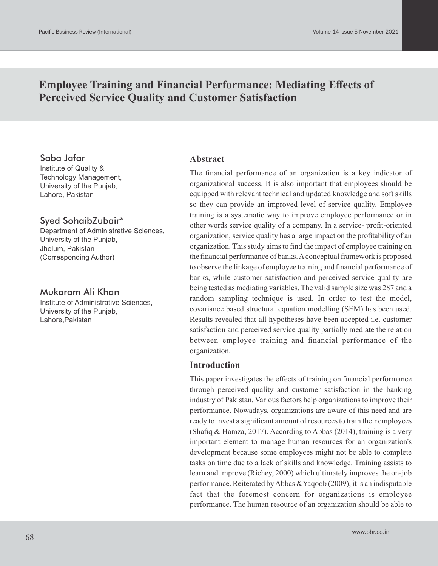# **Employee Training and Financial Performance: Mediating Effects of Perceived Service Quality and Customer Satisfaction**

### Saba Jafar

Institute of Quality & Technology Management, University of the Punjab, Lahore, Pakistan

## Syed SohaibZubair\*

Department of Administrative Sciences, University of the Punjab, Jhelum, Pakistan (Corresponding Author)

#### Mukaram Ali Khan

Institute of Administrative Sciences, University of the Punjab, Lahore,Pakistan

#### **Abstract**

The financial performance of an organization is a key indicator of organizational success. It is also important that employees should be equipped with relevant technical and updated knowledge and soft skills so they can provide an improved level of service quality. Employee training is a systematic way to improve employee performance or in other words service quality of a company. In a service- profit-oriented organization, service quality has a large impact on the profitability of an organization. This study aims to find the impact of employee training on the financial performance of banks. Aconceptual framework is proposed to observe the linkage of employee training and financial performance of banks, while customer satisfaction and perceived service quality are being tested as mediating variables. The valid sample size was 287 and a random sampling technique is used. In order to test the model, covariance based structural equation modelling (SEM) has been used. Results revealed that all hypotheses have been accepted i.e. customer satisfaction and perceived service quality partially mediate the relation between employee training and financial performance of the organization.

### **Introduction**

This paper investigates the effects of training on financial performance through perceived quality and customer satisfaction in the banking industry of Pakistan. Various factors help organizations to improve their performance. Nowadays, organizations are aware of this need and are ready to invest a significant amount of resources to train their employees (Shafiq & Hamza, 2017). According to Abbas (2014), training is a very important element to manage human resources for an organization's development because some employees might not be able to complete tasks on time due to a lack of skills and knowledge. Training assists to learn and improve (Richey, 2000) which ultimately improves the on-job performance. Reiterated by Abbas &Yaqoob (2009), it is an indisputable fact that the foremost concern for organizations is employee performance. The human resource of an organization should be able to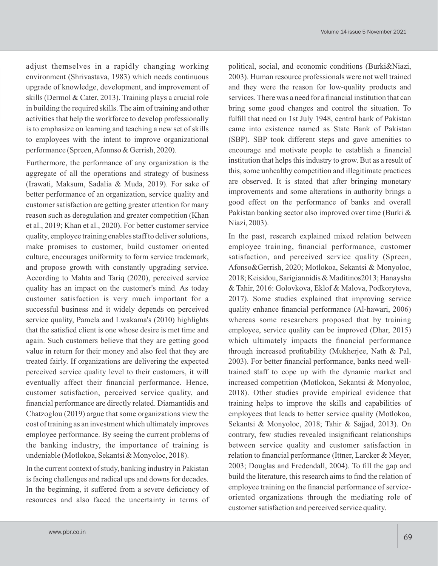adjust themselves in a rapidly changing working environment (Shrivastava, 1983) which needs continuous upgrade of knowledge, development, and improvement of skills (Dermol & Cater, 2013). Training plays a crucial role in building the required skills. The aim of training and other activities that help the workforce to develop professionally is to emphasize on learning and teaching a new set of skills to employees with the intent to improve organizational performance (Spreen, Afonnso & Gerrish, 2020).

Furthermore, the performance of any organization is the aggregate of all the operations and strategy of business (Irawati, Maksum, Sadalia & Muda, 2019). For sake of better performance of an organization, service quality and customer satisfaction are getting greater attention for many reason such as deregulation and greater competition (Khan et al., 2019; Khan et al., 2020). For better customer service quality, employee training enables staff to deliver solutions, make promises to customer, build customer oriented culture, encourages uniformity to form service trademark, and propose growth with constantly upgrading service. According to Mahta and Tariq (2020), perceived service quality has an impact on the customer's mind. As today customer satisfaction is very much important for a successful business and it widely depends on perceived service quality, Pamela and Lwakama's (2010) highlights that the satisfied client is one whose desire is met time and again. Such customers believe that they are getting good value in return for their money and also feel that they are treated fairly. If organizations are delivering the expected perceived service quality level to their customers, it will eventually affect their financial performance. Hence, customer satisfaction, perceived service quality, and financial performance are directly related. Diamantidis and Chatzoglou (2019) argue that some organizations view the cost of training as an investment which ultimately improves employee performance. By seeing the current problems of the banking industry, the importance of training is undeniable (Motlokoa, Sekantsi & Monyoloc, 2018).

In the current context of study, banking industry in Pakistan is facing challenges and radical ups and downs for decades. In the beginning, it suffered from a severe deficiency of resources and also faced the uncertainty in terms of political, social, and economic conditions (Burki&Niazi, 2003). Human resource professionals were not well trained and they were the reason for low-quality products and services. There was a need for a financial institution that can bring some good changes and control the situation. To fulfill that need on 1st July 1948, central bank of Pakistan came into existence named as State Bank of Pakistan (SBP). SBP took different steps and gave amenities to encourage and motivate people to establish a financial institution that helps this industry to grow. But as a result of this, some unhealthy competition and illegitimate practices are observed. It is stated that after bringing monetary improvements and some alterations in authority brings a good effect on the performance of banks and overall Pakistan banking sector also improved over time (Burki & Niazi, 2003).

In the past, research explained mixed relation between employee training, financial performance, customer satisfaction, and perceived service quality (Spreen, Afonso&Gerrish, 2020; Motlokoa, Sekantsi & Monyoloc, 2018; Keisidou, Sarigiannidis & Maditinos2013; Hanaysha & Tahir, 2016: Golovkova, Eklof & Malova, Podkorytova, 2017). Some studies explained that improving service quality enhance financial performance (Al-hawari, 2006) whereas some researchers proposed that by training employee, service quality can be improved (Dhar, 2015) which ultimately impacts the financial performance through increased profitability (Mukherjee, Nath & Pal, 2003). For better financial performance, banks need welltrained staff to cope up with the dynamic market and increased competition (Motlokoa, Sekantsi & Monyoloc, 2018). Other studies provide empirical evidence that training helps to improve the skills and capabilities of employees that leads to better service quality (Motlokoa, Sekantsi & Monyoloc, 2018; Tahir & Sajjad, 2013). On contrary, few studies revealed insignificant relationships between service quality and customer satisfaction in relation to financial performance (Ittner, Larcker & Meyer, 2003; Douglas and Fredendall, 2004). To fill the gap and build the literature, this research aims to find the relation of employee training on the financial performance of serviceoriented organizations through the mediating role of customer satisfaction and perceived service quality.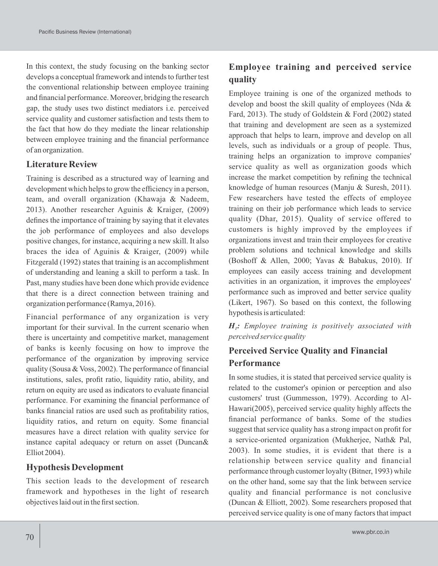In this context, the study focusing on the banking sector develops a conceptual framework and intends to further test the conventional relationship between employee training and financial performance. Moreover, bridging the research gap, the study uses two distinct mediators i.e. perceived service quality and customer satisfaction and tests them to the fact that how do they mediate the linear relationship between employee training and the financial performance of an organization.

## **Literature Review**

Training is described as a structured way of learning and development which helps to grow the efficiency in a person, team, and overall organization (Khawaja & Nadeem, 2013). Another researcher Aguinis & Kraiger, (2009) defines the importance of training by saying that it elevates the job performance of employees and also develops positive changes, for instance, acquiring a new skill. It also braces the idea of Aguinis & Kraiger, (2009) while Fitzgerald (1992) states that training is an accomplishment of understanding and leaning a skill to perform a task. In Past, many studies have been done which provide evidence that there is a direct connection between training and organization performance (Ramya, 2016).

Financial performance of any organization is very important for their survival. In the current scenario when there is uncertainty and competitive market, management of banks is keenly focusing on how to improve the performance of the organization by improving service quality (Sousa & Voss, 2002). The performance of financial institutions, sales, profit ratio, liquidity ratio, ability, and return on equity are used as indicators to evaluate financial performance. For examining the financial performance of banks financial ratios are used such as profitability ratios, liquidity ratios, and return on equity. Some financial measures have a direct relation with quality service for instance capital adequacy or return on asset (Duncan& Elliot 2004).

## **Hypothesis Development**

This section leads to the development of research framework and hypotheses in the light of research objectives laid out in the first section.

# **Employee training and perceived service quality**

Employee training is one of the organized methods to develop and boost the skill quality of employees (Nda & Fard, 2013). The study of Goldstein & Ford (2002) stated that training and development are seen as a systemized approach that helps to learn, improve and develop on all levels, such as individuals or a group of people. Thus, training helps an organization to improve companies' service quality as well as organization goods which increase the market competition by refining the technical knowledge of human resources (Manju & Suresh, 2011). Few researchers have tested the effects of employee training on their job performance which leads to service quality (Dhar, 2015). Quality of service offered to customers is highly improved by the employees if organizations invest and train their employees for creative problem solutions and technical knowledge and skills (Boshoff & Allen, 2000; Yavas & Babakus, 2010). If employees can easily access training and development activities in an organization, it improves the employees' performance such as improved and better service quality (Likert, 1967). So based on this context, the following hypothesis is articulated:

*H : Employee training is positively associated with <sup>1</sup> perceived service quality*

# **Perceived Service Quality and Financial Performance**

In some studies, it is stated that perceived service quality is related to the customer's opinion or perception and also customers' trust (Gummesson, 1979). According to Al-Hawari(2005), perceived service quality highly affects the financial performance of banks. Some of the studies suggest that service quality has a strong impact on profit for a service-oriented organization (Mukherjee, Nath& Pal, 2003). In some studies, it is evident that there is a relationship between service quality and financial performance through customer loyalty (Bitner, 1993) while on the other hand, some say that the link between service quality and financial performance is not conclusive (Duncan & Elliott, 2002). Some researchers proposed that perceived service quality is one of many factors that impact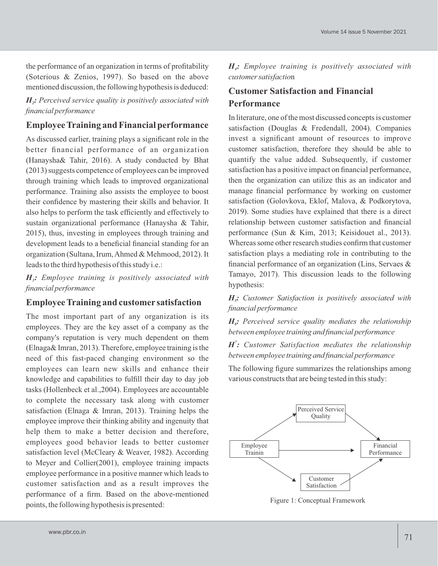the performance of an organization in terms of profitability (Soterious & Zenios, 1997). So based on the above mentioned discussion, the following hypothesis is deduced:

*H<sub>2</sub>*: Perceived service quality is positively associated with *financial performance*

# **Employee Training and Financial performance**

As discussed earlier, training plays a significant role in the better financial performance of an organization (Hanaysha& Tahir, 2016). A study conducted by Bhat (2013) suggests competence of employees can be improved through training which leads to improved organizational performance. Training also assists the employee to boost their confidence by mastering their skills and behavior. It also helps to perform the task efficiently and effectively to sustain organizational performance (Hanaysha & Tahir, 2015), thus, investing in employees through training and development leads to a beneficial financial standing for an organization (Sultana, Irum, Ahmed & Mehmood, 2012). It leads to the third hypothesis of this study i.e.:

*H : Employee training is positively associated with <sup>3</sup> financial performance*

## **Employee Training and customer satisfaction**

The most important part of any organization is its employees. They are the key asset of a company as the company's reputation is very much dependent on them (Elnaga& Imran, 2013). Therefore, employee training is the need of this fast-paced changing environment so the employees can learn new skills and enhance their knowledge and capabilities to fulfill their day to day job tasks (Hollenbeck et al.,2004). Employees are accountable to complete the necessary task along with customer satisfaction (Elnaga & Imran, 2013). Training helps the employee improve their thinking ability and ingenuity that help them to make a better decision and therefore, employees good behavior leads to better customer satisfaction level (McCleary & Weaver, 1982). According to Meyer and Collier(2001), employee training impacts employee performance in a positive manner which leads to customer satisfaction and as a result improves the performance of a firm. Based on the above-mentioned points, the following hypothesis is presented:

*H : Employee training is positively associated with <sup>4</sup> customer satisfactio*n

# **Customer Satisfaction and Financial Performance**

In literature, one of the most discussed concepts is customer satisfaction (Douglas & Fredendall, 2004). Companies invest a significant amount of resources to improve customer satisfaction, therefore they should be able to quantify the value added. Subsequently, if customer satisfaction has a positive impact on financial performance, then the organization can utilize this as an indicator and manage financial performance by working on customer satisfaction (Golovkova, Eklof, Malova, & Podkorytova, 2019). Some studies have explained that there is a direct relationship between customer satisfaction and financial performance (Sun & Kim, 2013; Keisidouet al., 2013). Whereas some other research studies confirm that customer satisfaction plays a mediating role in contributing to the financial performance of an organization (Lins, Servaes & Tamayo, 2017). This discussion leads to the following hypothesis:

*H : Customer Satisfaction is positively associated with <sup>5</sup> financial performance*

 $H_{\delta}$ : Perceived service quality mediates the relationship *between employee training and financial performance*

*<sup>7</sup> H : Customer Satisfaction mediates the relationship between employee training and financial performance*

The following figure summarizes the relationships among various constructs that are being tested in this study:



Figure 1: Conceptual Framework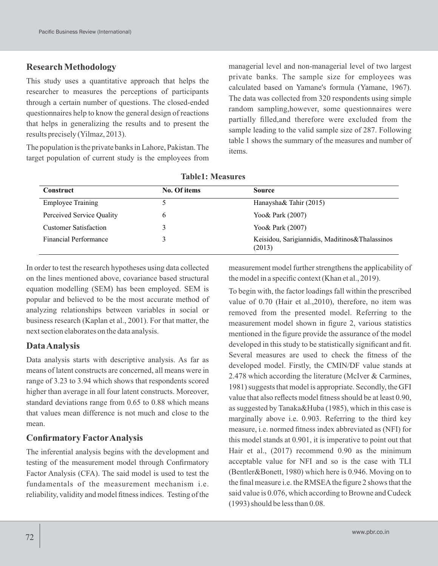### **Research Methodology**

This study uses a quantitative approach that helps the researcher to measures the perceptions of participants through a certain number of questions. The closed-ended questionnaires help to know the general design of reactions that helps in generalizing the results and to present the results precisely (Yilmaz, 2013).

The population is the private banks in Lahore, Pakistan. The target population of current study is the employees from managerial level and non-managerial level of two largest private banks. The sample size for employees was calculated based on Yamane's formula (Yamane, 1967). The data was collected from 320 respondents using simple random sampling,however, some questionnaires were partially filled,and therefore were excluded from the sample leading to the valid sample size of 287. Following table 1 shows the summary of the measures and number of items.

| <b>Construct</b>             | No. Of items | <b>Source</b>                                            |
|------------------------------|--------------|----------------------------------------------------------|
| <b>Employee Training</b>     |              | Hanaysha& Tahir (2015)                                   |
| Perceived Service Quality    | 6            | Yoo & Park (2007)                                        |
| <b>Customer Satisfaction</b> |              | Yoo& Park (2007)                                         |
| <b>Financial Performance</b> |              | Keisidou, Sarigiannidis, Maditinos&Thalassinos<br>(2013) |

**Table1: Measures**

In order to test the research hypotheses using data collected on the lines mentioned above, covariance based structural equation modelling (SEM) has been employed. SEM is popular and believed to be the most accurate method of analyzing relationships between variables in social or business research (Kaplan et al., 2001). For that matter, the next section elaborates on the data analysis.

#### **Data Analysis**

Data analysis starts with descriptive analysis. As far as means of latent constructs are concerned, all means were in range of 3.23 to 3.94 which shows that respondents scored higher than average in all four latent constructs. Moreover, standard deviations range from 0.65 to 0.88 which means that values mean difference is not much and close to the mean.

## **Confirmatory FactorAnalysis**

The inferential analysis begins with the development and testing of the measurement model through Confirmatory Factor Analysis (CFA). The said model is used to test the fundamentals of the measurement mechanism i.e. reliability, validity and model fitness indices. Testing of the

measurement model further strengthens the applicability of the model in a specific context (Khan et al., 2019).

To begin with, the factor loadings fall within the prescribed value of 0.70 (Hair et al.,2010), therefore, no item was removed from the presented model. Referring to the measurement model shown in figure 2, various statistics mentioned in the figure provide the assurance of the model developed in this study to be statistically significant and fit. Several measures are used to check the fitness of the developed model. Firstly, the CMIN/DF value stands at 2.478 which according the literature (McIver & Carmines, 1981) suggests that model is appropriate. Secondly, the GFI value that also reflects model fitness should be at least 0.90, as suggested by Tanaka&Huba (1985), which in this case is marginally above i.e. 0.903. Referring to the third key measure, i.e. normed fitness index abbreviated as (NFI) for this model stands at 0.901, it is imperative to point out that Hair et al., (2017) recommend 0.90 as the minimum acceptable value for NFI and so is the case with TLI (Bentler&Bonett, 1980) which here is 0.946. Moving on to the final measure i.e. the RMSEAthe figure 2 shows that the said value is 0.076, which according to Browne and Cudeck (1993) should be less than 0.08.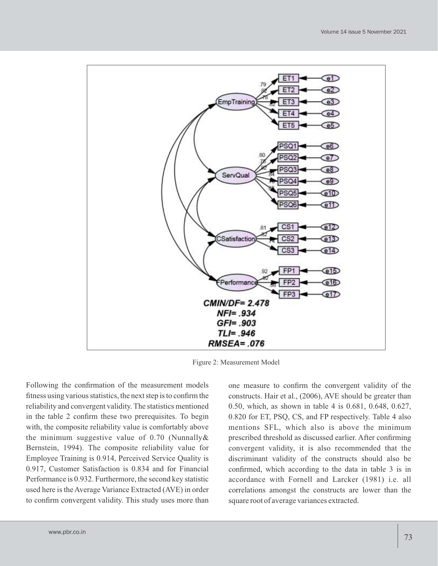

Figure 2: Measurement Model

Following the confirmation of the measurement models fitness using various statistics, the next step is to confirm the reliability and convergent validity. The statistics mentioned in the table 2 confirm these two prerequisites. To begin with, the composite reliability value is comfortably above the minimum suggestive value of 0.70 (Nunnally& Bernstein, 1994). The composite reliability value for Employee Training is 0.914, Perceived Service Quality is 0.917, Customer Satisfaction is 0.834 and for Financial Performance is 0.932. Furthermore, the second key statistic used here is the Average Variance Extracted (AVE) in order to confirm convergent validity. This study uses more than

one measure to confirm the convergent validity of the constructs. Hair et al., (2006), AVE should be greater than 0.50, which, as shown in table 4 is 0.681, 0.648, 0.627, 0.820 for ET, PSQ, CS, and FP respectively. Table 4 also mentions SFL, which also is above the minimum prescribed threshold as discussed earlier. After confirming convergent validity, it is also recommended that the discriminant validity of the constructs should also be confirmed, which according to the data in table 3 is in accordance with Fornell and Larcker (1981) i.e. all correlations amongst the constructs are lower than the square root of average variances extracted.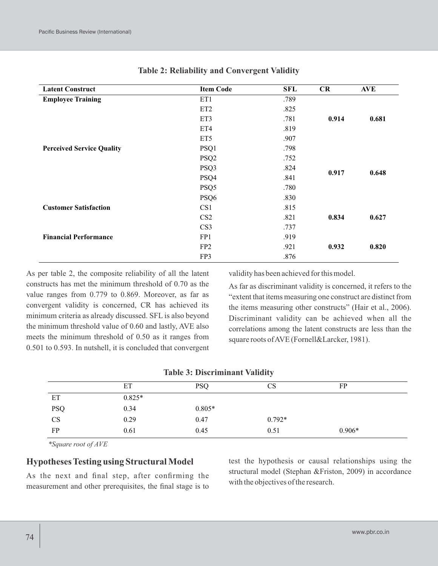| <b>Latent Construct</b>          | <b>Item Code</b> | SFL  | CR    | <b>AVE</b> |
|----------------------------------|------------------|------|-------|------------|
| <b>Employee Training</b>         | ET1              | .789 |       |            |
|                                  | ET <sub>2</sub>  | .825 |       |            |
|                                  | ET3              | .781 | 0.914 | 0.681      |
|                                  | ET4              | .819 |       |            |
|                                  | ET5              | .907 |       |            |
| <b>Perceived Service Quality</b> | PSQ1             | .798 |       |            |
|                                  | PSQ <sub>2</sub> | .752 |       |            |
|                                  | PSQ3             | .824 | 0.917 | 0.648      |
|                                  | PSQ4             | .841 |       |            |
|                                  | PSQ5             | .780 |       |            |
|                                  | PSQ <sub>6</sub> | .830 |       |            |
| <b>Customer Satisfaction</b>     | CS <sub>1</sub>  | .815 |       |            |
|                                  | CS <sub>2</sub>  | .821 | 0.834 | 0.627      |
|                                  | CS <sub>3</sub>  | .737 |       |            |
| <b>Financial Performance</b>     | FP1              | .919 |       |            |
|                                  | FP <sub>2</sub>  | .921 | 0.932 | 0.820      |
|                                  | FP3              | .876 |       |            |

#### **Table 2: Reliability and Convergent Validity**

As per table 2, the composite reliability of all the latent constructs has met the minimum threshold of 0.70 as the value ranges from 0.779 to 0.869. Moreover, as far as convergent validity is concerned, CR has achieved its minimum criteria as already discussed. SFL is also beyond the minimum threshold value of 0.60 and lastly, AVE also meets the minimum threshold of 0.50 as it ranges from 0.501 to 0.593. In nutshell, it is concluded that convergent validity has been achieved for this model.

As far as discriminant validity is concerned, it refers to the "extent that items measuring one construct are distinct from the items measuring other constructs" (Hair et al., 2006). Discriminant validity can be achieved when all the correlations among the latent constructs are less than the square roots of AVE (Fornell&Larcker, 1981).

| <b>Table 3: Discriminant Validity</b> |
|---------------------------------------|
|                                       |

|            | ET       | <b>PSQ</b> | CS       | <b>FP</b> |
|------------|----------|------------|----------|-----------|
| ET         | $0.825*$ |            |          |           |
| <b>PSQ</b> | 0.34     | $0.805*$   |          |           |
| CS         | 0.29     | 0.47       | $0.792*$ |           |
| <b>FP</b>  | 0.61     | 0.45       | 0.51     | $0.906*$  |

*\*Square root of AVE*

### **Hypotheses Testing using Structural Model**

As the next and final step, after confirming the measurement and other prerequisites, the final stage is to

test the hypothesis or causal relationships using the structural model (Stephan &Friston, 2009) in accordance with the objectives of the research.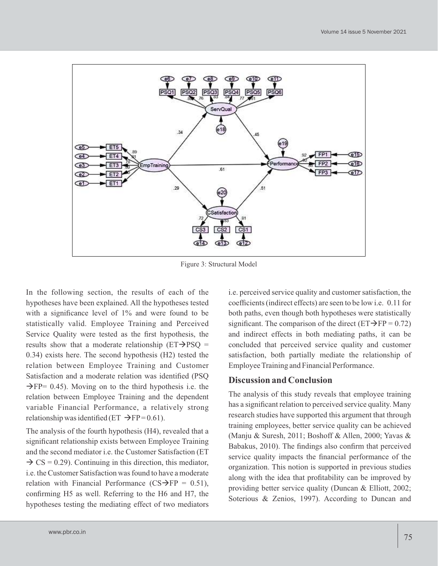

Figure 3: Structural Model

In the following section, the results of each of the hypotheses have been explained. All the hypotheses tested with a significance level of 1% and were found to be statistically valid. Employee Training and Perceived Service Quality were tested as the first hypothesis, the results show that a moderate relationship ( $ET\rightarrow PSO =$ 0.34) exists here. The second hypothesis (H2) tested the relation between Employee Training and Customer Satisfaction and a moderate relation was identified (PSQ  $\rightarrow$  FP= 0.45). Moving on to the third hypothesis i.e. the relation between Employee Training and the dependent variable Financial Performance, a relatively strong relationship was identified (ET  $\rightarrow$  FP= 0.61).

The analysis of the fourth hypothesis (H4), revealed that a significant relationship exists between Employee Training and the second mediator i.e. the Customer Satisfaction (ET  $\rightarrow$  CS = 0.29). Continuing in this direction, this mediator, i.e. the Customer Satisfaction was found to have a moderate relation with Financial Performance (CS $\rightarrow$ FP = 0.51), confirming H5 as well. Referring to the H6 and H7, the hypotheses testing the mediating effect of two mediators i.e. perceived service quality and customer satisfaction, the coefficients (indirect effects) are seen to be low i.e. 0.11 for both paths, even though both hypotheses were statistically significant. The comparison of the direct ( $ET\rightarrow FP = 0.72$ ) and indirect effects in both mediating paths, it can be concluded that perceived service quality and customer satisfaction, both partially mediate the relationship of Employee Training and Financial Performance.

### **Discussion and Conclusion**

The analysis of this study reveals that employee training has a significant relation to perceived service quality. Many research studies have supported this argument that through training employees, better service quality can be achieved (Manju & Suresh, 2011; Boshoff & Allen, 2000; Yavas & Babakus, 2010). The findings also confirm that perceived service quality impacts the financial performance of the organization. This notion is supported in previous studies along with the idea that profitability can be improved by providing better service quality (Duncan & Elliott, 2002; Soterious & Zenios, 1997). According to Duncan and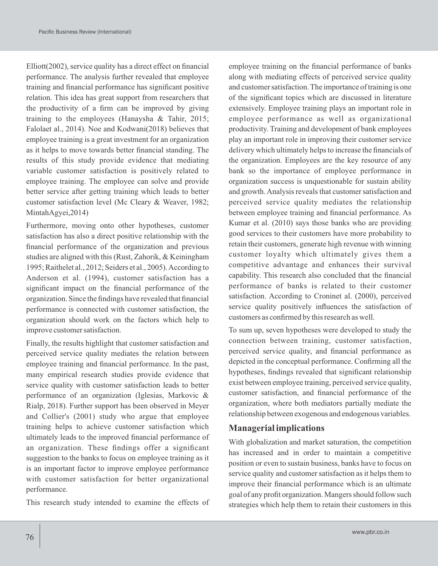Elliott(2002), service quality has a direct effect on financial performance. The analysis further revealed that employee training and financial performance has significant positive relation. This idea has great support from researchers that the productivity of a firm can be improved by giving training to the employees (Hanaysha & Tahir, 2015; Falolaet al., 2014). Noe and Kodwani(2018) believes that employee training is a great investment for an organization as it helps to move towards better financial standing. The results of this study provide evidence that mediating variable customer satisfaction is positively related to employee training. The employee can solve and provide better service after getting training which leads to better customer satisfaction level (Mc Cleary & Weaver, 1982; MintahAgyei,2014)

Furthermore, moving onto other hypotheses, customer satisfaction has also a direct positive relationship with the financial performance of the organization and previous studies are aligned with this (Rust, Zahorik, & Keiningham 1995; Raithelet al., 2012; Seiders et al., 2005). According to Anderson et al. (1994), customer satisfaction has a significant impact on the financial performance of the organization. Since the findings have revealed that financial performance is connected with customer satisfaction, the organization should work on the factors which help to improve customer satisfaction.

Finally, the results highlight that customer satisfaction and perceived service quality mediates the relation between employee training and financial performance. In the past, many empirical research studies provide evidence that service quality with customer satisfaction leads to better performance of an organization (Iglesias, Markovic & Rialp, 2018). Further support has been observed in Meyer and Collier's (2001) study who argue that employee training helps to achieve customer satisfaction which ultimately leads to the improved financial performance of an organization. These findings offer a significant suggestion to the banks to focus on employee training as it is an important factor to improve employee performance with customer satisfaction for better organizational performance.

This research study intended to examine the effects of

employee training on the financial performance of banks along with mediating effects of perceived service quality and customer satisfaction. The importance of training is one of the significant topics which are discussed in literature extensively. Employee training plays an important role in employee performance as well as organizational productivity. Training and development of bank employees play an important role in improving their customer service delivery which ultimately helps to increase the financials of the organization. Employees are the key resource of any bank so the importance of employee performance in organization success is unquestionable for sustain ability and growth. Analysis reveals that customer satisfaction and perceived service quality mediates the relationship between employee training and financial performance. As Kumar et al. (2010) says those banks who are providing good services to their customers have more probability to retain their customers, generate high revenue with winning customer loyalty which ultimately gives them a competitive advantage and enhances their survival capability. This research also concluded that the financial performance of banks is related to their customer satisfaction. According to Croninet al. (2000), perceived service quality positively influences the satisfaction of customers as confirmed by this research as well.

To sum up, seven hypotheses were developed to study the connection between training, customer satisfaction, perceived service quality, and financial performance as depicted in the conceptual performance. Confirming all the hypotheses, findings revealed that significant relationship exist between employee training, perceived service quality, customer satisfaction, and financial performance of the organization, where both mediators partially mediate the relationship between exogenous and endogenous variables.

## **Managerial implications**

With globalization and market saturation, the competition has increased and in order to maintain a competitive position or even to sustain business, banks have to focus on service quality and customer satisfaction as it helps them to improve their financial performance which is an ultimate goal of any profit organization. Mangers should follow such strategies which help them to retain their customers in this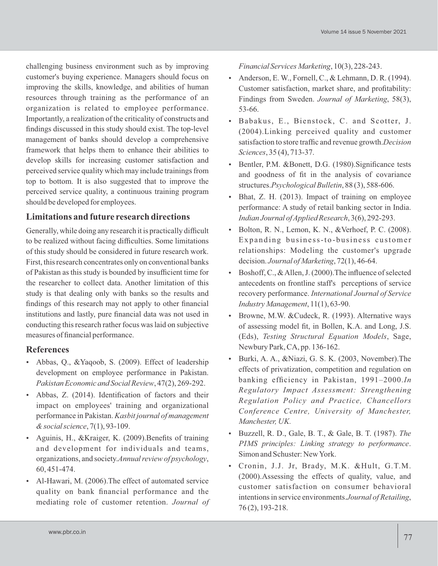challenging business environment such as by improving customer's buying experience. Managers should focus on improving the skills, knowledge, and abilities of human resources through training as the performance of an organization is related to employee performance. Importantly, a realization of the criticality of constructs and findings discussed in this study should exist. The top-level management of banks should develop a comprehensive framework that helps them to enhance their abilities to develop skills for increasing customer satisfaction and perceived service quality which may include trainings from top to bottom. It is also suggested that to improve the perceived service quality, a continuous training program should be developed for employees.

## **Limitations and future research directions**

Generally, while doing any research it is practically difficult to be realized without facing difficulties. Some limitations of this study should be considered in future research work. First, this research concentrates only on conventional banks of Pakistan as this study is bounded by insufficient time for the researcher to collect data. Another limitation of this study is that dealing only with banks so the results and findings of this research may not apply to other financial institutions and lastly, pure financial data was not used in conducting this research rather focus was laid on subjective measures of financial performance.

## **References**

- Abbas, Q., &Yaqoob, S. (2009). Effect of leadership development on employee performance in Pakistan. *Pakistan Economic and Social Review*, 47(2), 269-292.
- Abbas, Z. (2014). Identification of factors and their impact on employees' training and organizational performance in Pakistan. *Kasbit journal of management & social science*, 7(1), 93-109.
- Aguinis, H., &Kraiger, K. (2009).Benefits of training and development for individuals and teams, organizations, and society.*Annual review of psychology*, 60, 451-474.
- Al-Hawari, M. (2006).The effect of automated service quality on bank financial performance and the mediating role of customer retention. *Journal of*

*Financial Services Marketing*, 10(3), 228-243.

- Anderson, E. W., Fornell, C., & Lehmann, D. R.  $(1994)$ . Customer satisfaction, market share, and profitability: Findings from Sweden. *Journal of Marketing*, 58(3), 53-66.
- Babakus, E., Bienstock, C. and Scotter, J. (2004).Linking perceived quality and customer satisfaction to store traffic and revenue growth.*Decision Sciences*, 35 (4), 713-37.
- Bentler, P.M. &Bonett, D.G. (1980). Significance tests and goodness of fit in the analysis of covariance structures.*Psychological Bulletin*, 88 (3), 588-606.
- Bhat, Z. H. (2013). Impact of training on employee performance: A study of retail banking sector in India. *Indian Journal of Applied Research*, 3(6), 292-293.
- Bolton, R. N., Lemon, K. N., &Verhoef, P. C. (2008). Expanding business-to-business customer relationships: Modeling the customer's upgrade decision. *Journal of Marketing*, 72(1), 46-64.
- Boshoff, C., & Allen, J. (2000).The influence of selected antecedents on frontline staff's perceptions of service recovery performance. *International Journal of Service Industry Management*, 11(1), 63-90.
- Browne, M.W. &Cudeck, R. (1993). Alternative ways of assessing model fit, in Bollen, K.A. and Long, J.S. (Eds), *Testing Structural Equation Models*, Sage, Newbury Park, CA, pp. 136-162.
- Burki, A. A., &Niazi, G. S. K. (2003, November).The effects of privatization, competition and regulation on banking efficiency in Pakistan, 1991–2000.*In Regulatory Impact Assessment: Strengthening Regulation Policy and Practice, Chancellors Conference Centre, University of Manchester, Manchester, UK.*
- Buzzell, R. D., Gale, B. T., & Gale, B. T. (1987). *The PIMS principles: Linking strategy to performance*. Simon and Schuster: New York.
- Cronin, J.J. Jr, Brady, M.K. &Hult, G.T.M. (2000).Assessing the effects of quality, value, and customer satisfaction on consumer behavioral intentions in service environments.*Journal of Retailing*, 76 (2), 193-218.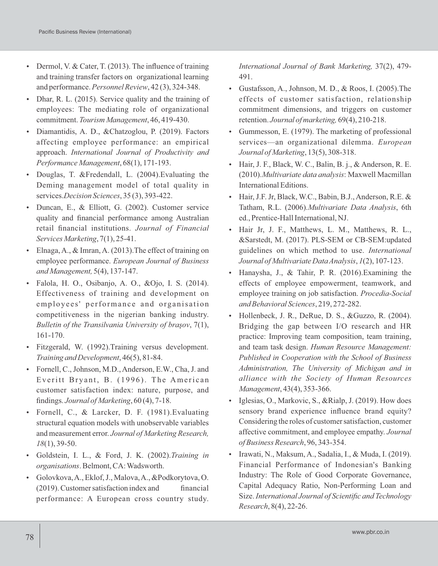- Dermol, V. & Cater, T. (2013). The influence of training and training transfer factors on organizational learning and performance.*Personnel Review*, 42 (3), 324-348.
- Dhar, R. L. (2015). Service quality and the training of employees: The mediating role of organizational commitment. *Tourism Management*, 46, 419-430.
- Diamantidis, A. D., &Chatzoglou, P. (2019). Factors affecting employee performance: an empirical approach. *International Journal of Productivity and Performance Management*, 68(1), 171-193.
- Douglas, T. &Fredendall, L. (2004).Evaluating the Deming management model of total quality in services.*Decision Sciences*, 35 (3), 393-422.
- Duncan, E., & Elliott, G. (2002). Customer service quality and financial performance among Australian retail financial institutions. *Journal of Financial Services Marketing*, 7(1), 25-41.
- Elnaga, A., & Imran, A. (2013).The effect of training on employee performance. *European Journal of Business and Management,* 5(4), 137-147.
- Falola, H. O., Osibanjo, A. O., &Ojo, I. S. (2014). Effectiveness of training and development on employees' performance and organisation competitiveness in the nigerian banking industry. *Bulletin of the Transilvania University of braşov*, 7(1), 161-170.
- Fitzgerald, W. (1992).Training versus development. *Training and Development*, 46(5), 81-84.
- Fornell, C., Johnson, M.D., Anderson, E.W., Cha, J. and Everitt Bryant, B. (1996). The American customer satisfaction index: nature, purpose, and findings. *Journal of Marketing*, 60 (4), 7-18.
- Fornell, C., & Larcker, D. F. (1981).Evaluating structural equation models with unobservable variables and measurement error. *Journal of Marketing Research, 18*(1), 39-50.
- Goldstein, I. L., & Ford, J. K. (2002).*Training in organisations*. Belmont, CA: Wadsworth.
- Golovkova, A., Eklof, J., Malova, A., &Podkorytova, O.  $(2019)$ . Customer satisfaction index and financial performance: A European cross country study.

*International Journal of Bank Marketing,* 37(2), 479- 491.

- Gustafsson, A., Johnson, M. D., & Roos, I. (2005).The effects of customer satisfaction, relationship commitment dimensions, and triggers on customer retention. *Journal of marketing,* 69(4), 210-218.
- Gummesson, E. (1979). The marketing of professional services—an organizational dilemma. *European Journal of Marketing*, 13(5), 308-318.
- Hair, J. F., Black, W. C., Balin, B. j., & Anderson, R. E. (2010).*Multivariate data analysis*: Maxwell Macmillan International Editions.
- Hair, J.F. Jr, Black, W.C., Babin, B.J., Anderson, R.E. & Tatham, R.L. (2006).*Multivariate Data Analysis*, 6th ed., Prentice-Hall International, NJ.
- Hair Jr, J. F., Matthews, L. M., Matthews, R. L., &Sarstedt, M. (2017). PLS-SEM or CB-SEM:updated guidelines on which method to use. *International Journal of Multivariate Data Analysis*, *1*(2), 107-123.
- Hanaysha, J., & Tahir, P. R. (2016).Examining the effects of employee empowerment, teamwork, and employee training on job satisfaction. *Procedia-Social and Behavioral Sciences*, 219, 272-282.
- Hollenbeck, J. R., DeRue, D. S., &Guzzo, R. (2004). Bridging the gap between I/O research and HR practice: Improving team composition, team training, and team task design. *Human Resource Management: Published in Cooperation with the School of Business Administration, The University of Michigan and in alliance with the Society of Human Resources Management*, 43(4), 353-366.
- $\bullet$  Iglesias, O., Markovic, S., &Rialp, J. (2019). How does sensory brand experience influence brand equity? Considering the roles of customer satisfaction, customer affective commitment, and employee empathy. *Journal of Business Research*, 96, 343-354.
- Irawati, N., Maksum, A., Sadalia, I., & Muda, I. (2019). Financial Performance of Indonesian's Banking Industry: The Role of Good Corporate Governance, Capital Adequacy Ratio, Non-Performing Loan and Size. *International Journal of Scientific and Technology Research*, 8(4), 22-26.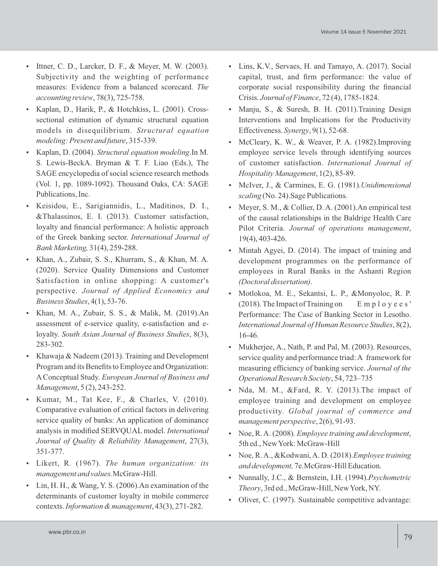- Ittner, C. D., Larcker, D. F., & Meyer, M. W. (2003). Subjectivity and the weighting of performance measures: Evidence from a balanced scorecard. *The accounting review*, 78(3), 725-758.
- Kaplan, D., Harik, P., & Hotchkiss, L. (2001). Crosssectional estimation of dynamic structural equation models in disequilibrium. *Structural equation modeling: Present and future*, 315-339.
- Kaplan, D. (2004). *Structural equation modeling*.In M. S. Lewis-BeckA. Bryman & T. F. Liao (Eds.), The SAGE encyclopedia of social science research methods (Vol. 1, pp. 1089-1092). Thousand Oaks, CA: SAGE Publications, Inc.
- Keisidou, E., Sarigiannidis, L., Maditinos, D. I., &Thalassinos, E. I. (2013). Customer satisfaction, loyalty and financial performance: A holistic approach of the Greek banking sector. *International Journal of Bank Marketing,* 31(4), 259-288.
- Khan, A., Zubair, S. S., Khurram, S., & Khan, M. A. (2020). Service Quality Dimensions and Customer Satisfaction in online shopping: A customer's perspective. *Journal of Applied Economics and Business Studies*, 4(1), 53-76.
- Khan, M. A., Zubair, S. S., & Malik, M. (2019).An assessment of e-service quality, e-satisfaction and eloyalty. *South Asian Journal of Business Studies*, 8(3), 283-302.
- Khawaja & Nadeem (2013). Training and Development Program and its Benefits to Employee and Organization: AConceptual Study. *European Journal of Business and Management*, 5 (2), 243-252.
- Kumar, M., Tat Kee, F., & Charles, V.  $(2010)$ . Comparative evaluation of critical factors in delivering service quality of banks: An application of dominance analysis in modified SERVQUAL model. *International Journal of Quality & Reliability Management*, 27(3), 351-377.
- Likert, R. (1967). *The human organization: its management and values.*McGraw-Hill.
- Lin, H. H., & Wang, Y. S. (2006).An examination of the determinants of customer loyalty in mobile commerce contexts. *Information & management*, 43(3), 271-282.
- Lins, K.V., Servaes, H. and Tamayo, A. (2017). Social capital, trust, and firm performance: the value of corporate social responsibility during the financial Crisis. *Journal of Finance*, 72 (4), 1785-1824.
- Manju, S., & Suresh, B. H. (2011). Training Design Interventions and Implications for the Productivity Effectiveness. *Synergy*, 9(1), 52-68.
- McCleary, K. W., & Weaver, P. A. (1982). Improving employee service levels through identifying sources of customer satisfaction. *International Journal of Hospitality Management*, 1(2), 85-89.
- McIver, J., & Carmines, E. G. (1981).*Unidimensional scaling* (No. 24).Sage Publications.
- Meyer, S. M., & Collier, D. A. (2001).An empirical test of the causal relationships in the Baldrige Health Care Pilot Criteria. *Journal of operations management*, 19(4), 403-426.
- Mintah Agyei, D. (2014). The impact of training and development programmes on the performance of employees in Rural Banks in the Ashanti Region *(Doctoral dissertation)*.
- Motlokoa, M. E., Sekantsi, L. P., &Monyoloc, R. P. (2018). The Impact of Training on  $E \text{ m } p \text{ 1 o } y e e s'$ Performance: The Case of Banking Sector in Lesotho. *International Journal of Human Resource Studies*, 8(2), 16-46.
- Mukherjee, A., Nath, P. and Pal, M. (2003). Resources, service quality and performance triad: A framework for measuring efficiency of banking service. *Journal of the Operational Research Society*, 54, 723–735
- $\bullet$  Nda, M. M., &Fard, R. Y. (2013). The impact of employee training and development on employee productivity. *Global journal of commerce and management perspective*, 2(6), 91-93.
- Noe, R. A. (2008). *Employee training and development*, 5th ed., New York: McGraw-Hill
- Noe, R. A., &Kodwani, A. D. (2018).*Employee training and development,* 7e.McGraw-Hill Education.
- Nunnally, J.C., & Bernstein, I.H. (1994).*Psychometric Theory*, 3rd ed., McGraw-Hill, New York, NY.
- Oliver, C. (1997). Sustainable competitive advantage: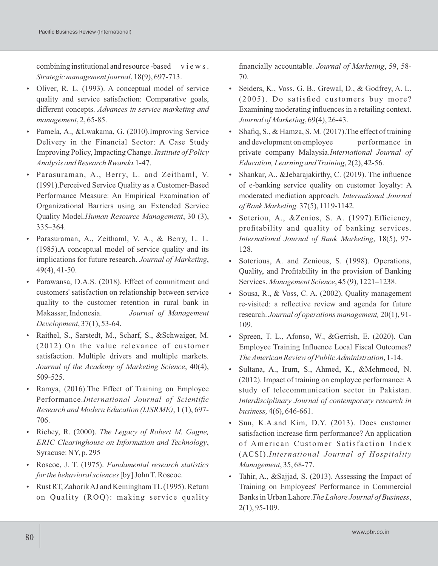combining institutional and resource-based views. *Strategic management journal*, 18(9), 697-713.

- Oliver, R. L. (1993). A conceptual model of service quality and service satisfaction: Comparative goals, different concepts. *Advances in service marketing and management*, 2, 65-85.
- Pamela, A., &Lwakama, G. (2010).Improving Service Delivery in the Financial Sector: A Case Study Improving Policy, Impacting Change. *Institute of Policy Analysis and Research Rwanda.*1-47.
- Parasuraman, A., Berry, L. and Zeithaml, V. (1991).Perceived Service Quality as a Customer-Based Performance Measure: An Empirical Examination of Organizational Barriers using an Extended Service Quality Model.*Human Resource Management*, 30 (3), 335–364.
- Parasuraman, A., Zeithaml, V. A., & Berry, L. L. (1985).A conceptual model of service quality and its implications for future research. *Journal of Marketing*, 49(4), 41-50.
- Parawansa, D.A.S. (2018). Effect of commitment and customers' satisfaction on relationship between service quality to the customer retention in rural bank in Makassar, Indonesia. *Journal of Management Development*, 37(1), 53-64.
- Raithel, S., Sarstedt, M., Scharf, S., &Schwaiger, M. (2012).On the value relevance of customer satisfaction. Multiple drivers and multiple markets. *Journal of the Academy of Marketing Science*, 40(4), 509-525.
- Ramya, (2016).The Effect of Training on Employee Performance.*International Journal of Scientific Research and Modern Education (IJSRME)*, 1 (1), 697- 706.
- Richey, R. (2000). *The Legacy of Robert M. Gagne, ERIC Clearinghouse on Information and Technology*, Syracuse: NY, p. 295
- Roscoe, J. T. (1975). *Fundamental research statistics for the behavioral sciences*[by] John T. Roscoe.
- Rust RT, Zahorik AJ and Keiningham TL(1995). Return on Quality (ROQ): making service quality

financially accountable. *Journal of Marketing*, 59, 58- 70.

- Seiders, K., Voss, G. B., Grewal, D., & Godfrey, A. L.  $(2005)$ . Do satisfied customers buy more? Examining moderating influences in a retailing context. *Journal of Marketing*, 69(4), 26-43.
- $\bullet$  Shafiq, S., & Hamza, S. M. (2017). The effect of training and development on employee performance in private company Malaysia.*International Journal of Education, Learning and Training*, 2(2), 42-56.
- Shankar, A., &Jebarajakirthy, C. (2019). The influence of e-banking service quality on customer loyalty: A moderated mediation approach. *International Journal of Bank Marketing.* 37(5), 1119-1142.
- Soteriou, A., &Zenios, S. A. (1997).Efficiency, profitability and quality of banking services. *International Journal of Bank Marketing*, 18(5), 97- 128.
- Soterious, A. and Zenious, S. (1998). Operations, Quality, and Profitability in the provision of Banking Services. *Management Science*, 45 (9), 1221–1238.
- Sousa, R., & Voss, C. A. (2002). Quality management re-visited: a reflective review and agenda for future research. *Journal of operations management,* 20(1), 91- 109.
- Spreen, T. L., Afonso, W., &Gerrish, E. (2020). Can Employee Training Influence Local Fiscal Outcomes? *The American Review of Public Administration*, 1-14.
- Sultana, A., Irum, S., Ahmed, K., &Mehmood, N. (2012). Impact of training on employee performance: A study of telecommunication sector in Pakistan. *Interdisciplinary Journal of contemporary research in business,* 4(6), 646-661.
- Sun, K.A.and Kim, D.Y. (2013). Does customer satisfaction increase firm performance? An application of American Customer Satisfaction Index (ACSI).*International Journal of Hospitality Management*, 35, 68-77.
- Tahir, A., &Sajjad, S. (2013). Assessing the Impact of Training on Employees' Performance in Commercial Banks in Urban Lahore.*The Lahore Journal of Business*, 2(1), 95-109.